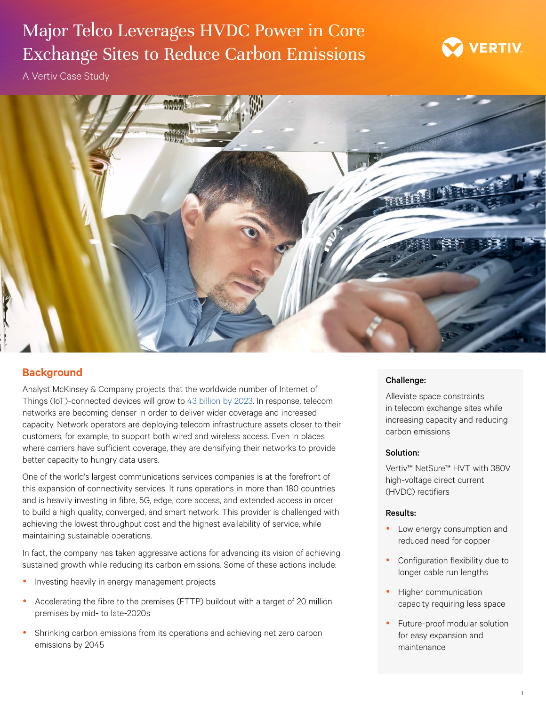# Major Telco Leverages HVDC Power in Core Exchange Sites to Reduce Carbon Emissions



A Vertiv Case Study



### **Background**

Analyst McKinsey & Company projects that the worldwide number of Internet of Things (IoT)-connected devices will grow to [43 billion by 2023.](https://www.mckinsey.com/industries/private-equity-and-principal-investors/our-insights/growing-opportunities-in-the-internet-of-things) In response, telecom networks are becoming denser in order to deliver wider coverage and increased capacity. Network operators are deploying telecom infrastructure assets closer to their customers, for example, to support both wired and wireless access. Even in places where carriers have sufficient coverage, they are densifying their networks to provide better capacity to hungry data users.

One of the world's largest communications services companies is at the forefront of this expansion of connectivity services. It runs operations in more than 180 countries and is heavily investing in fibre, 5G, edge, core access, and extended access in order to build a high quality, converged, and smart network. This provider is challenged with achieving the lowest throughput cost and the highest availability of service, while maintaining sustainable operations.

In fact, the company has taken aggressive actions for advancing its vision of achieving sustained growth while reducing its carbon emissions. Some of these actions include:

- Investing heavily in energy management projects
- Accelerating the fibre to the premises (FTTP) buildout with a target of 20 million premises by mid- to late-2020s
- Shrinking carbon emissions from its operations and achieving net zero carbon emissions by 2045

### Challenge:

Alleviate space constraints in telecom exchange sites while increasing capacity and reducing carbon emissions

### Solution:

Vertiv™ NetSure™ HVT with 380V high-voltage direct current (HVDC) rectifiers

### Results:

- Low energy consumption and reduced need for copper
- Configuration flexibility due to longer cable run lengths
- Higher communication capacity requiring less space
- Future-proof modular solution for easy expansion and maintenance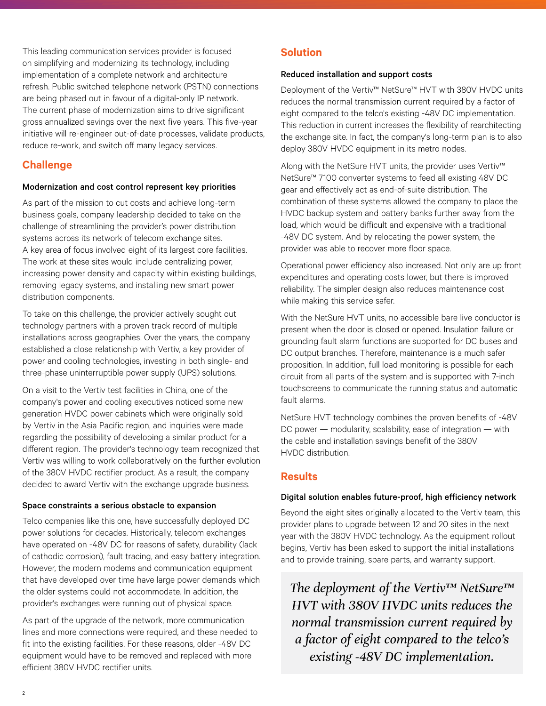This leading communication services provider is focused on simplifying and modernizing its technology, including implementation of a complete network and architecture refresh. Public switched telephone network (PSTN) connections are being phased out in favour of a digital-only IP network. The current phase of modernization aims to drive significant gross annualized savings over the next five years. This five-year initiative will re-engineer out-of-date processes, validate products, reduce re-work, and switch off many legacy services.

### **Challenge**

### Modernization and cost control represent key priorities

As part of the mission to cut costs and achieve long-term business goals, company leadership decided to take on the challenge of streamlining the provider's power distribution systems across its network of telecom exchange sites. A key area of focus involved eight of its largest core facilities. The work at these sites would include centralizing power, increasing power density and capacity within existing buildings, removing legacy systems, and installing new smart power distribution components.

To take on this challenge, the provider actively sought out technology partners with a proven track record of multiple installations across geographies. Over the years, the company established a close relationship with Vertiv, a key provider of power and cooling technologies, investing in both single- and three-phase uninterruptible power supply (UPS) solutions.

On a visit to the Vertiv test facilities in China, one of the company's power and cooling executives noticed some new generation HVDC power cabinets which were originally sold by Vertiv in the Asia Pacific region, and inquiries were made regarding the possibility of developing a similar product for a different region. The provider's technology team recognized that Vertiv was willing to work collaboratively on the further evolution of the 380V HVDC rectifier product. As a result, the company decided to award Vertiv with the exchange upgrade business.

### Space constraints a serious obstacle to expansion

Telco companies like this one, have successfully deployed DC power solutions for decades. Historically, telecom exchanges have operated on -48V DC for reasons of safety, durability (lack of cathodic corrosion), fault tracing, and easy battery integration. However, the modern modems and communication equipment that have developed over time have large power demands which the older systems could not accommodate. In addition, the provider's exchanges were running out of physical space.

As part of the upgrade of the network, more communication lines and more connections were required, and these needed to fit into the existing facilities. For these reasons, older -48V DC equipment would have to be removed and replaced with more efficient 380V HVDC rectifier units.

## **Solution**

### Reduced installation and support costs

Deployment of the Vertiv™ NetSure™ HVT with 380V HVDC units reduces the normal transmission current required by a factor of eight compared to the telco's existing -48V DC implementation. This reduction in current increases the flexibility of rearchitecting the exchange site. In fact, the company's long-term plan is to also deploy 380V HVDC equipment in its metro nodes.

Along with the NetSure HVT units, the provider uses Vertiv™ NetSure™ 7100 converter systems to feed all existing 48V DC gear and effectively act as end-of-suite distribution. The combination of these systems allowed the company to place the HVDC backup system and battery banks further away from the load, which would be difficult and expensive with a traditional -48V DC system. And by relocating the power system, the provider was able to recover more floor space.

Operational power efficiency also increased. Not only are up front expenditures and operating costs lower, but there is improved reliability. The simpler design also reduces maintenance cost while making this service safer.

With the NetSure HVT units, no accessible bare live conductor is present when the door is closed or opened. Insulation failure or grounding fault alarm functions are supported for DC buses and DC output branches. Therefore, maintenance is a much safer proposition. In addition, full load monitoring is possible for each circuit from all parts of the system and is supported with 7-inch touchscreens to communicate the running status and automatic fault alarms.

NetSure HVT technology combines the proven benefits of -48V DC power — modularity, scalability, ease of integration — with the cable and installation savings benefit of the 380V HVDC distribution.

# **Results**

### Digital solution enables future-proof, high efficiency network

Beyond the eight sites originally allocated to the Vertiv team, this provider plans to upgrade between 12 and 20 sites in the next year with the 380V HVDC technology. As the equipment rollout begins, Vertiv has been asked to support the initial installations and to provide training, spare parts, and warranty support.

*The deployment of the Vertiv™ NetSure™ HVT with 380V HVDC units reduces the normal transmission current required by a factor of eight compared to the telco's existing -48V DC implementation.*